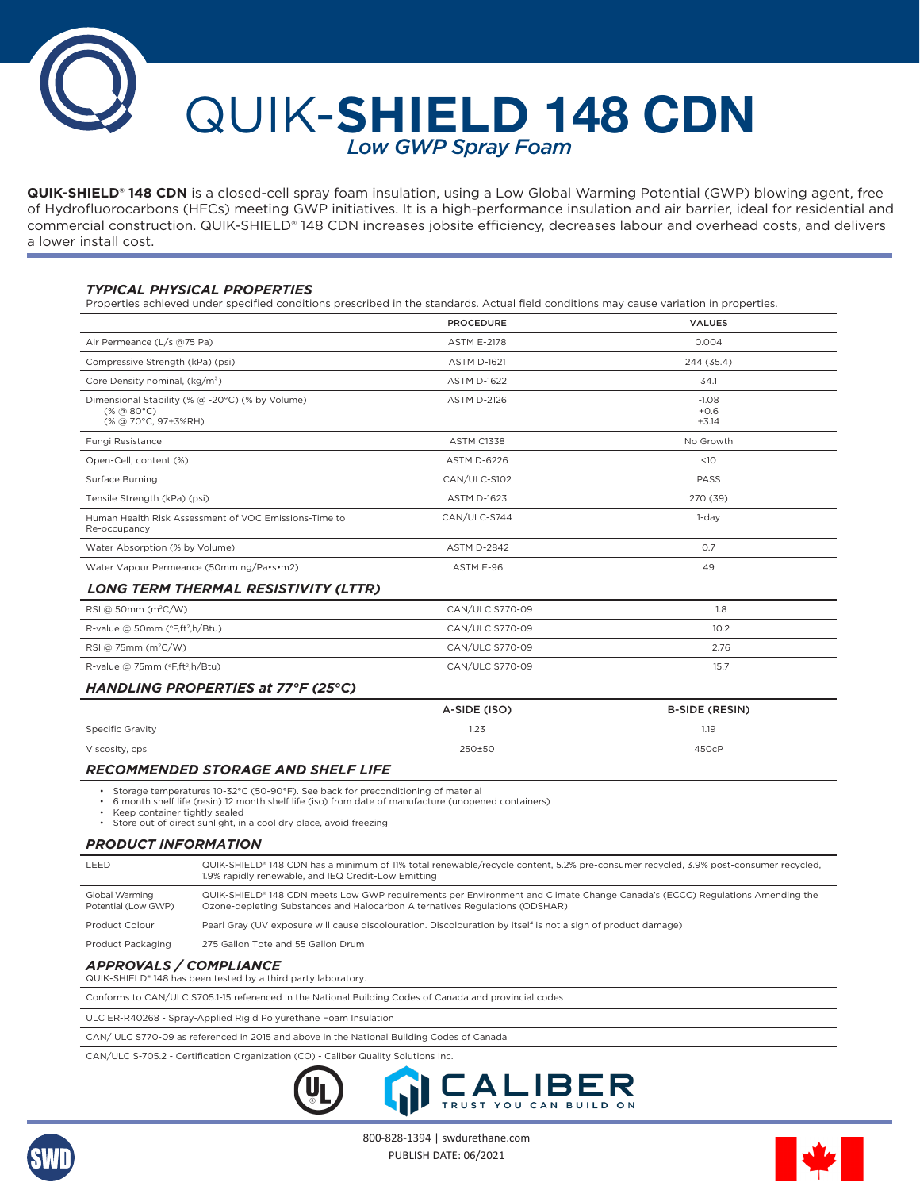# Q UIK-**SHIELD 148 CDN** *Low GWP Spray Foam*

**QUIK-SHIELD® 148 CDN** is a closed-cell spray foam insulation, using a Low Global Warming Potential (GWP) blowing agent, free of Hydrofluorocarbons (HFCs) meeting GWP initiatives. It is a high-performance insulation and air barrier, ideal for residential and commercial construction. QUIK-SHIELD® 148 CDN increases jobsite efficiency, decreases labour and overhead costs, and delivers a lower install cost.

# *TYPICAL PHYSICAL PROPERTIES*

Properties achieved under specified conditions prescribed in the standards. Actual field conditions may cause variation in properties.

|                                                                                                     | <b>PROCEDURE</b>   | <b>VALUES</b>                |
|-----------------------------------------------------------------------------------------------------|--------------------|------------------------------|
| Air Permeance (L/s @75 Pa)                                                                          | <b>ASTM E-2178</b> | 0.004                        |
| Compressive Strength (kPa) (psi)                                                                    | <b>ASTM D-1621</b> | 244 (35.4)                   |
| Core Density nominal, (kg/m <sup>3</sup> )                                                          | <b>ASTM D-1622</b> | 34.1                         |
| Dimensional Stability (% @ -20°C) (% by Volume)<br>$(* \otimes 80^{\circ}C)$<br>(% @ 70°C, 97+3%RH) | <b>ASTM D-2126</b> | $-1.08$<br>$+0.6$<br>$+3.14$ |
| Fungi Resistance                                                                                    | <b>ASTM C1338</b>  | No Growth                    |
| Open-Cell, content (%)                                                                              | <b>ASTM D-6226</b> | <10                          |
| Surface Burning                                                                                     | CAN/ULC-S102       | PASS                         |
| Tensile Strength (kPa) (psi)                                                                        | <b>ASTM D-1623</b> | 270 (39)                     |
| Human Health Risk Assessment of VOC Emissions-Time to<br>Re-occupancy                               | CAN/ULC-S744       | $1$ -day                     |
| Water Absorption (% by Volume)                                                                      | <b>ASTM D-2842</b> | 0.7                          |
| Water Vapour Permeance (50mm ng/Pa•s•m2)                                                            | ASTM E-96          | 49                           |
| LONG TERM THERMAL RESISTIVITY (LTTR)                                                                |                    |                              |
| RSI @ 50mm (m <sup>2</sup> C/W)                                                                     | CAN/ULC S770-09    | 1.8                          |
| R-value @ 50mm (°F,ft <sup>2</sup> ,h/Btu)                                                          | CAN/ULC S770-09    | 10.2                         |
| RSI @ 75mm $(m^2C/W)$                                                                               | CAN/ULC S770-09    | 2.76                         |
| R-value @ 75mm (°F,ft <sup>2</sup> ,h/Btu)                                                          | CAN/ULC S770-09    | 15.7                         |
| HANDLING PROPERTIES at 77°F (25°C)                                                                  |                    |                              |
|                                                                                                     | A-SIDE (ISO)       | <b>B-SIDE (RESIN)</b>        |
| <b>Specific Gravity</b>                                                                             | 1.23               | 1.19                         |
| Viscosity, cps                                                                                      | 250±50             | 450cP                        |

## *RECOMMENDED STORAGE AND SHELF LIFE*

• Storage temperatures 10-32°C (50-90°F). See back for preconditioning of material

• 6 month shelf life (resin) 12 month shelf life (iso) from date of manufacture (unopened containers)

• Keep container tightly sealed

• Store out of direct sunlight, in a cool dry place, avoid freezing

#### *PRODUCT INFORMATION*

| LEED                                  | QUIK-SHIELD <sup>®</sup> 148 CDN has a minimum of 11% total renewable/recycle content, 5.2% pre-consumer recycled, 3.9% post-consumer recycled,<br>1.9% rapidly renewable, and IEQ Credit-Low Emitting                 |
|---------------------------------------|------------------------------------------------------------------------------------------------------------------------------------------------------------------------------------------------------------------------|
| Global Warming<br>Potential (Low GWP) | QUIK-SHIELD <sup>®</sup> 148 CDN meets Low GWP requirements per Environment and Climate Change Canada's (ECCC) Regulations Amending the<br>Ozone-depleting Substances and Halocarbon Alternatives Regulations (ODSHAR) |
| Product Colour                        | Pearl Gray (UV exposure will cause discolouration. Discolouration by itself is not a sign of product damage)                                                                                                           |
| Product Packaging                     | 275 Gallon Tote and 55 Gallon Drum                                                                                                                                                                                     |

# *APPROVALS / COMPLIANCE*

QUIK-SHIELD® 148 has been tested by a third party laboratory.

Conforms to CAN/ULC S705.1-15 referenced in the National Building Codes of Canada and provincial codes

ULC ER-R40268 - Spray-Applied Rigid Polyurethane Foam Insulation

CAN/ ULC S770-09 as referenced in 2015 and above in the National Building Codes of Canada

CAN/ULC S-705.2 - Certification Organization (CO) - Caliber Quality Solutions Inc.





800-828-1394 | swdurethane.com PUBLISH DATE: 06/2021